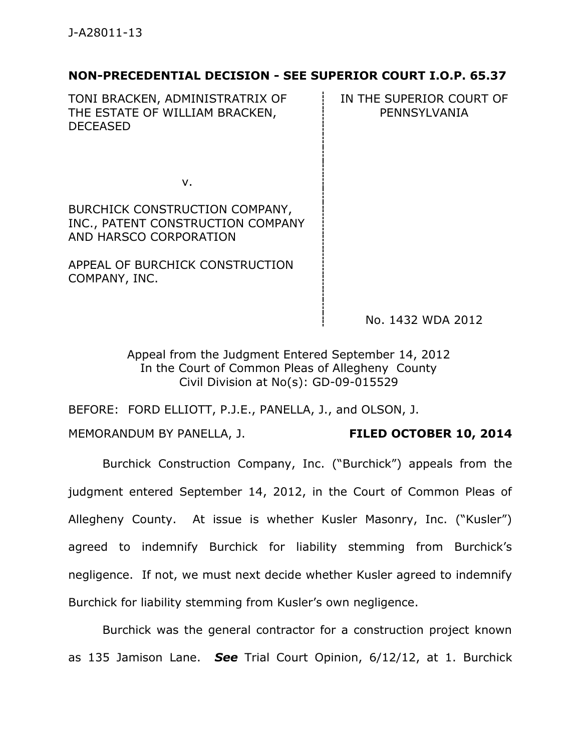# **NON-PRECEDENTIAL DECISION - SEE SUPERIOR COURT I.O.P. 65.37**

TONI BRACKEN, ADMINISTRATRIX OF THE ESTATE OF WILLIAM BRACKEN, DECEASED

IN THE SUPERIOR COURT OF PENNSYLVANIA

v.

BURCHICK CONSTRUCTION COMPANY, INC., PATENT CONSTRUCTION COMPANY AND HARSCO CORPORATION

APPEAL OF BURCHICK CONSTRUCTION COMPANY, INC.

No. 1432 WDA 2012

Appeal from the Judgment Entered September 14, 2012 In the Court of Common Pleas of Allegheny County Civil Division at No(s): GD-09-015529

BEFORE: FORD ELLIOTT, P.J.E., PANELLA, J., and OLSON, J.

MEMORANDUM BY PANELLA, J. **FILED OCTOBER 10, 2014**

Burchick Construction Company, Inc. ("Burchick") appeals from the judgment entered September 14, 2012, in the Court of Common Pleas of Allegheny County. At issue is whether Kusler Masonry, Inc. ("Kusler") agreed to indemnify Burchick for liability stemming from Burchick's negligence. If not, we must next decide whether Kusler agreed to indemnify

Burchick for liability stemming from Kusler's own negligence.

Burchick was the general contractor for a construction project known as 135 Jamison Lane. *See* Trial Court Opinion, 6/12/12, at 1. Burchick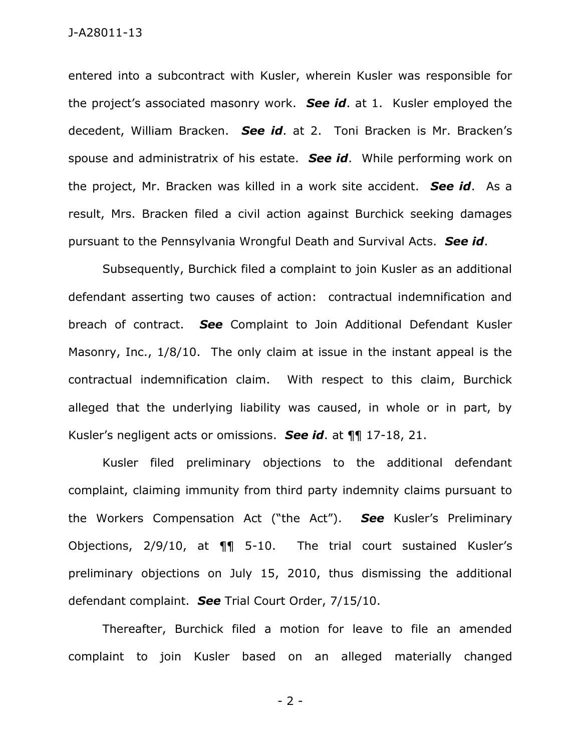entered into a subcontract with Kusler, wherein Kusler was responsible for the project's associated masonry work. *See id*. at 1. Kusler employed the decedent, William Bracken. *See id*. at 2. Toni Bracken is Mr. Bracken's spouse and administratrix of his estate. *See id*. While performing work on the project, Mr. Bracken was killed in a work site accident. *See id*. As a result, Mrs. Bracken filed a civil action against Burchick seeking damages pursuant to the Pennsylvania Wrongful Death and Survival Acts. *See id*.

Subsequently, Burchick filed a complaint to join Kusler as an additional defendant asserting two causes of action: contractual indemnification and breach of contract. *See* Complaint to Join Additional Defendant Kusler Masonry, Inc., 1/8/10. The only claim at issue in the instant appeal is the contractual indemnification claim. With respect to this claim, Burchick alleged that the underlying liability was caused, in whole or in part, by Kusler's negligent acts or omissions. *See id*. at ¶¶ 17-18, 21.

Kusler filed preliminary objections to the additional defendant complaint, claiming immunity from third party indemnity claims pursuant to the Workers Compensation Act ("the Act"). *See* Kusler's Preliminary Objections, 2/9/10, at ¶¶ 5-10. The trial court sustained Kusler's preliminary objections on July 15, 2010, thus dismissing the additional defendant complaint. *See* Trial Court Order, 7/15/10.

Thereafter, Burchick filed a motion for leave to file an amended complaint to join Kusler based on an alleged materially changed

- 2 -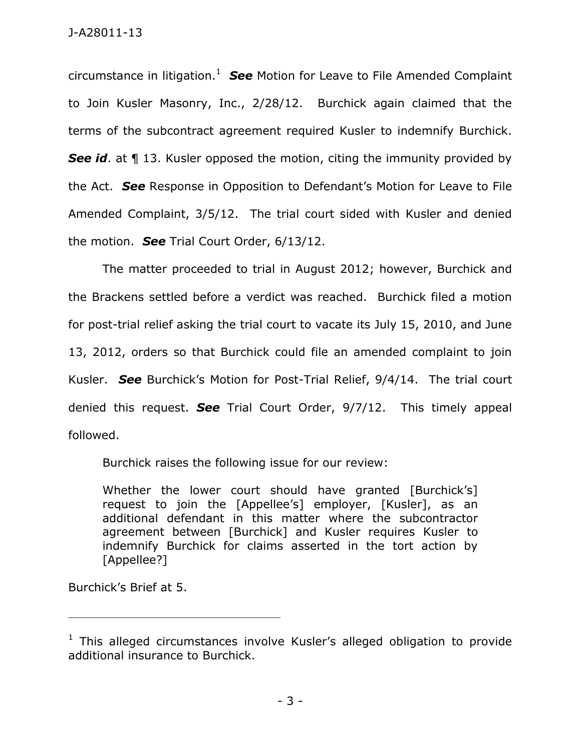circumstance in litigation.<sup>1</sup> See Motion for Leave to File Amended Complaint to Join Kusler Masonry, Inc., 2/28/12. Burchick again claimed that the terms of the subcontract agreement required Kusler to indemnify Burchick. **See id.** at **1** 13. Kusler opposed the motion, citing the immunity provided by the Act. *See* Response in Opposition to Defendant's Motion for Leave to File Amended Complaint, 3/5/12. The trial court sided with Kusler and denied the motion. *See* Trial Court Order, 6/13/12.

The matter proceeded to trial in August 2012; however, Burchick and the Brackens settled before a verdict was reached. Burchick filed a motion for post-trial relief asking the trial court to vacate its July 15, 2010, and June 13, 2012, orders so that Burchick could file an amended complaint to join Kusler. *See* Burchick's Motion for Post-Trial Relief, 9/4/14. The trial court denied this request. *See* Trial Court Order, 9/7/12. This timely appeal followed.

Burchick raises the following issue for our review:

Whether the lower court should have granted [Burchick's] request to join the [Appellee's] employer, [Kusler], as an additional defendant in this matter where the subcontractor agreement between [Burchick] and Kusler requires Kusler to indemnify Burchick for claims asserted in the tort action by [Appellee?]

Burchick's Brief at 5.

\_\_\_\_\_\_\_\_\_\_\_\_\_\_\_\_\_\_\_\_\_\_\_\_\_\_\_\_\_\_\_\_\_\_\_\_\_\_\_\_\_\_\_\_

 $1$  This alleged circumstances involve Kusler's alleged obligation to provide additional insurance to Burchick.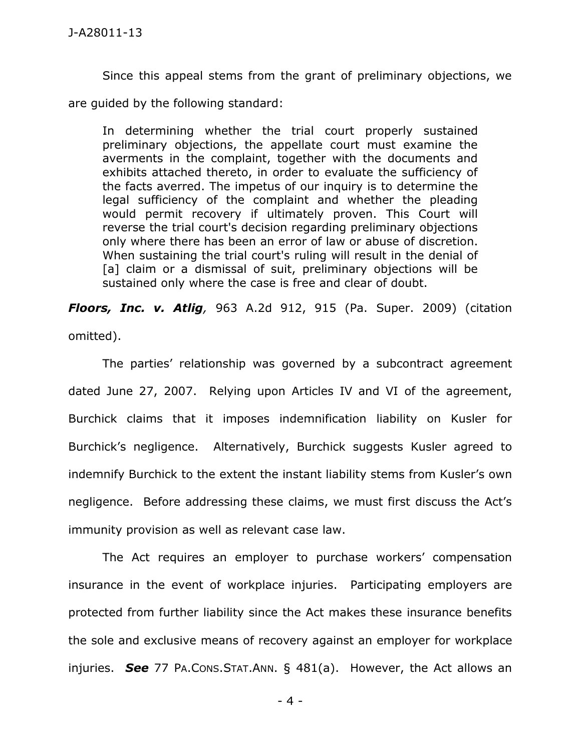Since this appeal stems from the grant of preliminary objections, we are guided by the following standard:

In determining whether the trial court properly sustained preliminary objections, the appellate court must examine the averments in the complaint, together with the documents and exhibits attached thereto, in order to evaluate the sufficiency of the facts averred. The impetus of our inquiry is to determine the legal sufficiency of the complaint and whether the pleading would permit recovery if ultimately proven. This Court will reverse the trial court's decision regarding preliminary objections only where there has been an error of law or abuse of discretion. When sustaining the trial court's ruling will result in the denial of [a] claim or a dismissal of suit, preliminary objections will be sustained only where the case is free and clear of doubt.

*Floors, Inc. v. Atlig,* 963 A.2d 912, 915 (Pa. Super. 2009) (citation omitted).

The parties' relationship was governed by a subcontract agreement dated June 27, 2007. Relying upon Articles IV and VI of the agreement, Burchick claims that it imposes indemnification liability on Kusler for Burchick's negligence. Alternatively, Burchick suggests Kusler agreed to indemnify Burchick to the extent the instant liability stems from Kusler's own negligence. Before addressing these claims, we must first discuss the Act's immunity provision as well as relevant case law.

The Act requires an employer to purchase workers' compensation insurance in the event of workplace injuries. Participating employers are protected from further liability since the Act makes these insurance benefits the sole and exclusive means of recovery against an employer for workplace injuries. *See* 77 PA.CONS.STAT.ANN. § 481(a). However, the Act allows an

- 4 -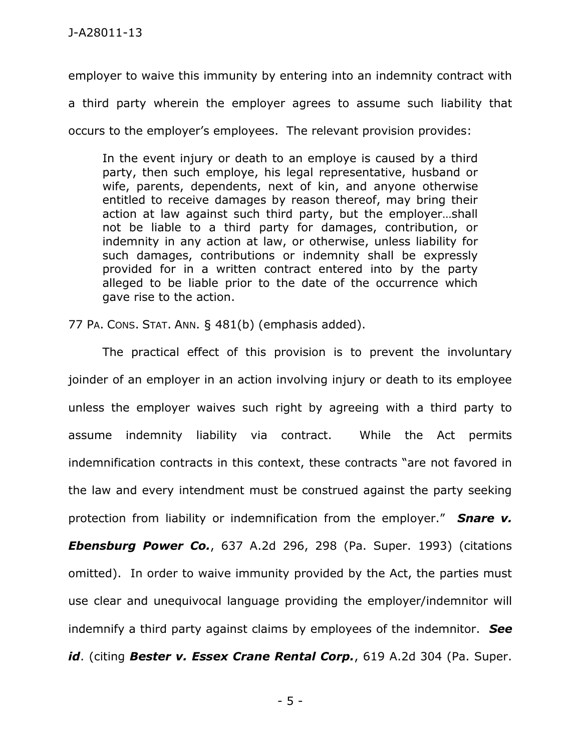employer to waive this immunity by entering into an indemnity contract with a third party wherein the employer agrees to assume such liability that

occurs to the employer's employees. The relevant provision provides:

In the event injury or death to an employe is caused by a third party, then such employe, his legal representative, husband or wife, parents, dependents, next of kin, and anyone otherwise entitled to receive damages by reason thereof, may bring their action at law against such third party, but the employer…shall not be liable to a third party for damages, contribution, or indemnity in any action at law, or otherwise, unless liability for such damages, contributions or indemnity shall be expressly provided for in a written contract entered into by the party alleged to be liable prior to the date of the occurrence which gave rise to the action.

77 PA. CONS. STAT. ANN. § 481(b) (emphasis added).

The practical effect of this provision is to prevent the involuntary joinder of an employer in an action involving injury or death to its employee unless the employer waives such right by agreeing with a third party to assume indemnity liability via contract. While the Act permits indemnification contracts in this context, these contracts "are not favored in the law and every intendment must be construed against the party seeking protection from liability or indemnification from the employer." *Snare v. Ebensburg Power Co.*, 637 A.2d 296, 298 (Pa. Super. 1993) (citations omitted). In order to waive immunity provided by the Act, the parties must use clear and unequivocal language providing the employer/indemnitor will indemnify a third party against claims by employees of the indemnitor. *See id*. (citing *Bester v. Essex Crane Rental Corp.*, 619 A.2d 304 (Pa. Super.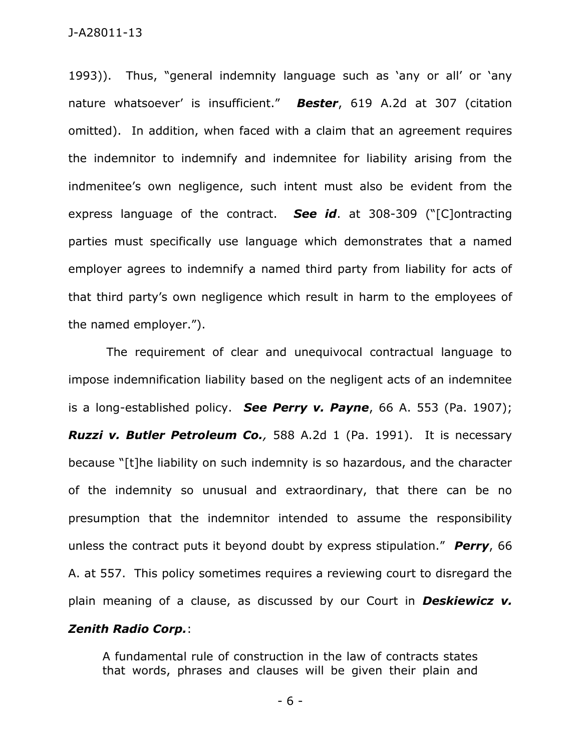1993)). Thus, "general indemnity language such as 'any or all' or 'any nature whatsoever' is insufficient." *Bester*, 619 A.2d at 307 (citation omitted). In addition, when faced with a claim that an agreement requires the indemnitor to indemnify and indemnitee for liability arising from the indmenitee's own negligence, such intent must also be evident from the express language of the contract. *See id*. at 308-309 ("[C]ontracting parties must specifically use language which demonstrates that a named employer agrees to indemnify a named third party from liability for acts of that third party's own negligence which result in harm to the employees of the named employer.").

The requirement of clear and unequivocal contractual language to impose indemnification liability based on the negligent acts of an indemnitee is a long-established policy. *See Perry v. Payne*, 66 A. 553 (Pa. 1907); *Ruzzi v. Butler Petroleum Co.,* 588 A.2d 1 (Pa. 1991). It is necessary because "[t]he liability on such indemnity is so hazardous, and the character of the indemnity so unusual and extraordinary, that there can be no presumption that the indemnitor intended to assume the responsibility unless the contract puts it beyond doubt by express stipulation." *Perry*, 66 A. at 557. This policy sometimes requires a reviewing court to disregard the plain meaning of a clause, as discussed by our Court in *Deskiewicz v. Zenith Radio Corp.*:

A fundamental rule of construction in the law of contracts states that words, phrases and clauses will be given their plain and

- 6 -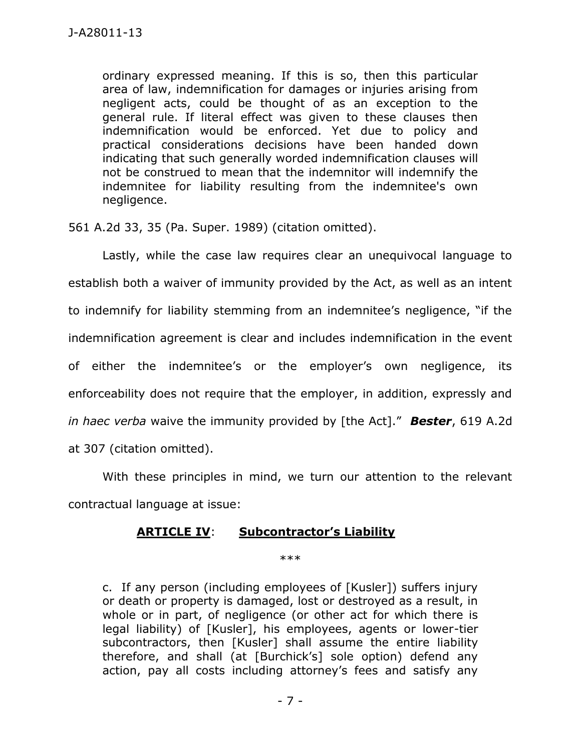ordinary expressed meaning. If this is so, then this particular area of law, indemnification for damages or injuries arising from negligent acts, could be thought of as an exception to the general rule. If literal effect was given to these clauses then indemnification would be enforced. Yet due to policy and practical considerations decisions have been handed down indicating that such generally worded indemnification clauses will not be construed to mean that the indemnitor will indemnify the indemnitee for liability resulting from the indemnitee's own negligence.

561 A.2d 33, 35 (Pa. Super. 1989) (citation omitted).

Lastly, while the case law requires clear an unequivocal language to establish both a waiver of immunity provided by the Act, as well as an intent to indemnify for liability stemming from an indemnitee's negligence, "if the indemnification agreement is clear and includes indemnification in the event of either the indemnitee's or the employer's own negligence, its enforceability does not require that the employer, in addition, expressly and *in haec verba* waive the immunity provided by [the Act]." *Bester*, 619 A.2d at 307 (citation omitted).

With these principles in mind, we turn our attention to the relevant contractual language at issue:

### **ARTICLE IV**: **Subcontractor's Liability**

\*\*\*

c. If any person (including employees of [Kusler]) suffers injury or death or property is damaged, lost or destroyed as a result, in whole or in part, of negligence (or other act for which there is legal liability) of [Kusler], his employees, agents or lower-tier subcontractors, then [Kusler] shall assume the entire liability therefore, and shall (at [Burchick's] sole option) defend any action, pay all costs including attorney's fees and satisfy any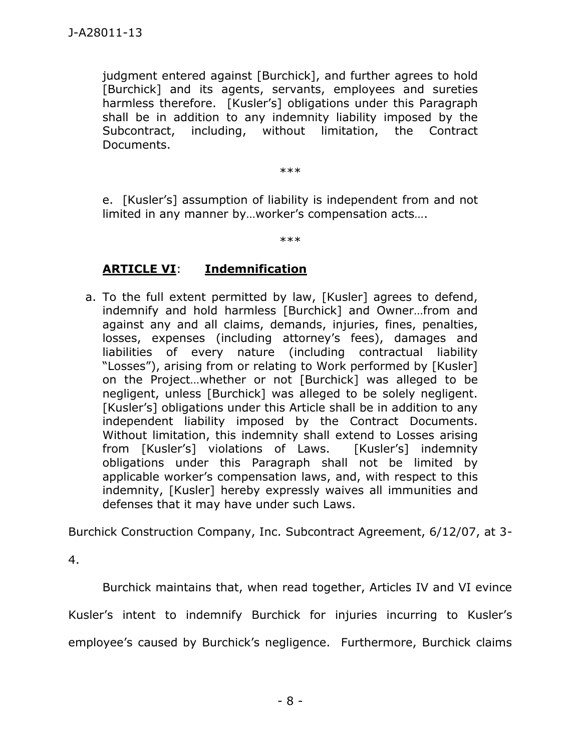judgment entered against [Burchick], and further agrees to hold [Burchick] and its agents, servants, employees and sureties harmless therefore. [Kusler's] obligations under this Paragraph shall be in addition to any indemnity liability imposed by the Subcontract, including, without limitation, the Contract Documents.

\*\*\*

e. [Kusler's] assumption of liability is independent from and not limited in any manner by…worker's compensation acts….

\*\*\*

## **ARTICLE VI**: **Indemnification**

a. To the full extent permitted by law, [Kusler] agrees to defend, indemnify and hold harmless [Burchick] and Owner…from and against any and all claims, demands, injuries, fines, penalties, losses, expenses (including attorney's fees), damages and liabilities of every nature (including contractual liability "Losses"), arising from or relating to Work performed by [Kusler] on the Project…whether or not [Burchick] was alleged to be negligent, unless [Burchick] was alleged to be solely negligent. [Kusler's] obligations under this Article shall be in addition to any independent liability imposed by the Contract Documents. Without limitation, this indemnity shall extend to Losses arising from [Kusler's] violations of Laws. [Kusler's] indemnity obligations under this Paragraph shall not be limited by applicable worker's compensation laws, and, with respect to this indemnity, [Kusler] hereby expressly waives all immunities and defenses that it may have under such Laws.

Burchick Construction Company, Inc. Subcontract Agreement, 6/12/07, at 3-

4.

Burchick maintains that, when read together, Articles IV and VI evince Kusler's intent to indemnify Burchick for injuries incurring to Kusler's employee's caused by Burchick's negligence. Furthermore, Burchick claims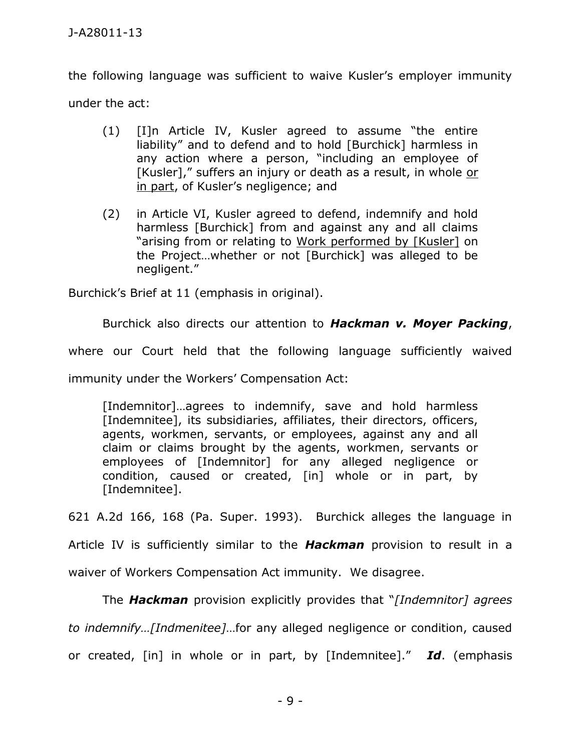the following language was sufficient to waive Kusler's employer immunity under the act:

- (1) [I]n Article IV, Kusler agreed to assume "the entire liability" and to defend and to hold [Burchick] harmless in any action where a person, "including an employee of [Kusler]," suffers an injury or death as a result, in whole or in part, of Kusler's negligence; and
- (2) in Article VI, Kusler agreed to defend, indemnify and hold harmless [Burchick] from and against any and all claims "arising from or relating to Work performed by [Kusler] on the Project…whether or not [Burchick] was alleged to be negligent."

Burchick's Brief at 11 (emphasis in original).

Burchick also directs our attention to *Hackman v. Moyer Packing*, where our Court held that the following language sufficiently waived immunity under the Workers' Compensation Act:

[Indemnitor]…agrees to indemnify, save and hold harmless [Indemnitee], its subsidiaries, affiliates, their directors, officers, agents, workmen, servants, or employees, against any and all claim or claims brought by the agents, workmen, servants or employees of [Indemnitor] for any alleged negligence or condition, caused or created, [in] whole or in part, by [Indemnitee].

621 A.2d 166, 168 (Pa. Super. 1993). Burchick alleges the language in

Article IV is sufficiently similar to the *Hackman* provision to result in a waiver of Workers Compensation Act immunity. We disagree.

The *Hackman* provision explicitly provides that "*[Indemnitor] agrees to indemnify…[Indmenitee]*…for any alleged negligence or condition, caused or created, [in] in whole or in part, by [Indemnitee]." *Id*. (emphasis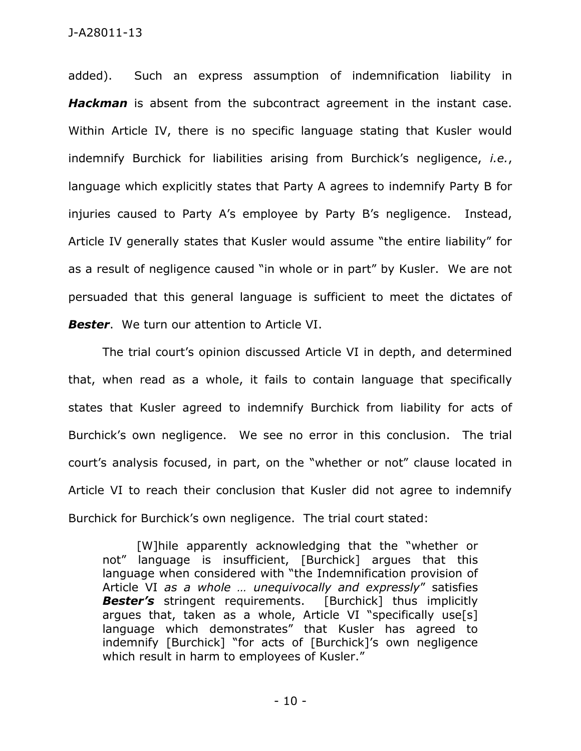added). Such an express assumption of indemnification liability in *Hackman* is absent from the subcontract agreement in the instant case. Within Article IV, there is no specific language stating that Kusler would indemnify Burchick for liabilities arising from Burchick's negligence, *i.e.*, language which explicitly states that Party A agrees to indemnify Party B for injuries caused to Party A's employee by Party B's negligence. Instead, Article IV generally states that Kusler would assume "the entire liability" for as a result of negligence caused "in whole or in part" by Kusler. We are not persuaded that this general language is sufficient to meet the dictates of *Bester*. We turn our attention to Article VI.

The trial court's opinion discussed Article VI in depth, and determined that, when read as a whole, it fails to contain language that specifically states that Kusler agreed to indemnify Burchick from liability for acts of Burchick's own negligence. We see no error in this conclusion. The trial court's analysis focused, in part, on the "whether or not" clause located in Article VI to reach their conclusion that Kusler did not agree to indemnify Burchick for Burchick's own negligence. The trial court stated:

[W]hile apparently acknowledging that the "whether or not" language is insufficient, [Burchick] argues that this language when considered with "the Indemnification provision of Article VI *as a whole … unequivocally and expressly*" satisfies **Bester's** stringent requirements. [Burchick] thus implicitly argues that, taken as a whole, Article VI "specifically use[s] language which demonstrates" that Kusler has agreed to indemnify [Burchick] "for acts of [Burchick]'s own negligence which result in harm to employees of Kusler."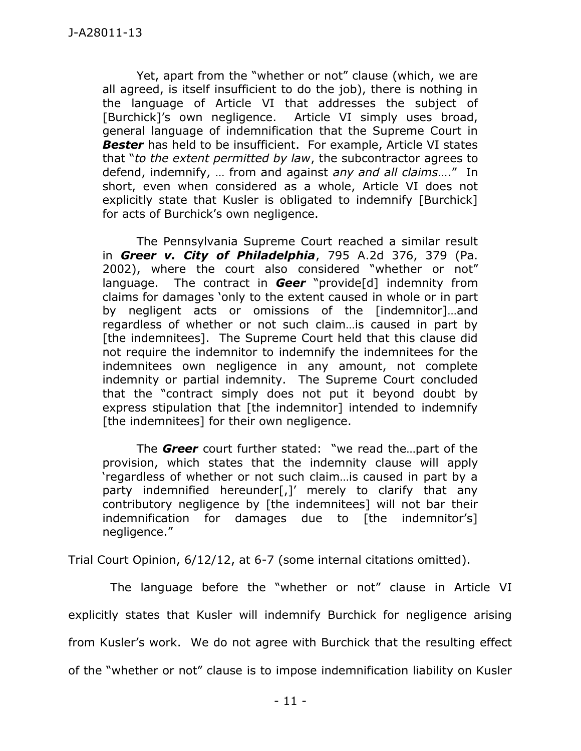Yet, apart from the "whether or not" clause (which, we are all agreed, is itself insufficient to do the job), there is nothing in the language of Article VI that addresses the subject of [Burchick]'s own negligence. Article VI simply uses broad, general language of indemnification that the Supreme Court in **Bester** has held to be insufficient. For example, Article VI states that "*to the extent permitted by law*, the subcontractor agrees to defend, indemnify, … from and against *any and all claims*…." In short, even when considered as a whole, Article VI does not explicitly state that Kusler is obligated to indemnify [Burchick] for acts of Burchick's own negligence.

The Pennsylvania Supreme Court reached a similar result in *Greer v. City of Philadelphia*, 795 A.2d 376, 379 (Pa. 2002), where the court also considered "whether or not" language. The contract in *Geer* "provide[d] indemnity from claims for damages 'only to the extent caused in whole or in part by negligent acts or omissions of the [indemnitor]…and regardless of whether or not such claim…is caused in part by [the indemnitees]. The Supreme Court held that this clause did not require the indemnitor to indemnify the indemnitees for the indemnitees own negligence in any amount, not complete indemnity or partial indemnity. The Supreme Court concluded that the "contract simply does not put it beyond doubt by express stipulation that [the indemnitor] intended to indemnify [the indemnitees] for their own negligence.

The *Greer* court further stated: "we read the…part of the provision, which states that the indemnity clause will apply 'regardless of whether or not such claim…is caused in part by a party indemnified hereunder[,]' merely to clarify that any contributory negligence by [the indemnitees] will not bar their indemnification for damages due to [the indemnitor's] negligence."

Trial Court Opinion, 6/12/12, at 6-7 (some internal citations omitted).

 The language before the "whether or not" clause in Article VI explicitly states that Kusler will indemnify Burchick for negligence arising from Kusler's work. We do not agree with Burchick that the resulting effect of the "whether or not" clause is to impose indemnification liability on Kusler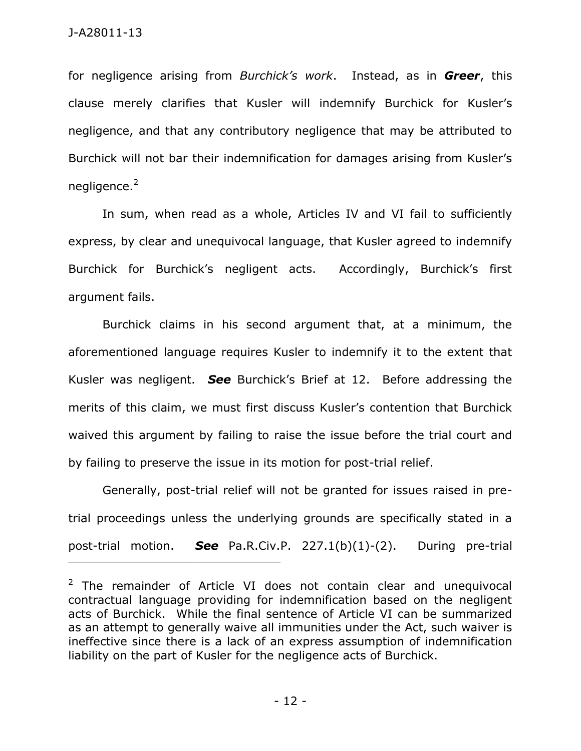for negligence arising from *Burchick's work*. Instead, as in *Greer*, this clause merely clarifies that Kusler will indemnify Burchick for Kusler's negligence, and that any contributory negligence that may be attributed to Burchick will not bar their indemnification for damages arising from Kusler's negligence.<sup>2</sup>

In sum, when read as a whole, Articles IV and VI fail to sufficiently express, by clear and unequivocal language, that Kusler agreed to indemnify Burchick for Burchick's negligent acts. Accordingly, Burchick's first argument fails.

Burchick claims in his second argument that, at a minimum, the aforementioned language requires Kusler to indemnify it to the extent that Kusler was negligent. *See* Burchick's Brief at 12. Before addressing the merits of this claim, we must first discuss Kusler's contention that Burchick waived this argument by failing to raise the issue before the trial court and by failing to preserve the issue in its motion for post-trial relief.

Generally, post-trial relief will not be granted for issues raised in pretrial proceedings unless the underlying grounds are specifically stated in a post-trial motion. *See* Pa.R.Civ.P. 227.1(b)(1)-(2). During pre-trial

\_\_\_\_\_\_\_\_\_\_\_\_\_\_\_\_\_\_\_\_\_\_\_\_\_\_\_\_\_\_\_\_\_\_\_\_\_\_\_\_\_\_\_\_

 $2$  The remainder of Article VI does not contain clear and unequivocal contractual language providing for indemnification based on the negligent acts of Burchick. While the final sentence of Article VI can be summarized as an attempt to generally waive all immunities under the Act, such waiver is ineffective since there is a lack of an express assumption of indemnification liability on the part of Kusler for the negligence acts of Burchick.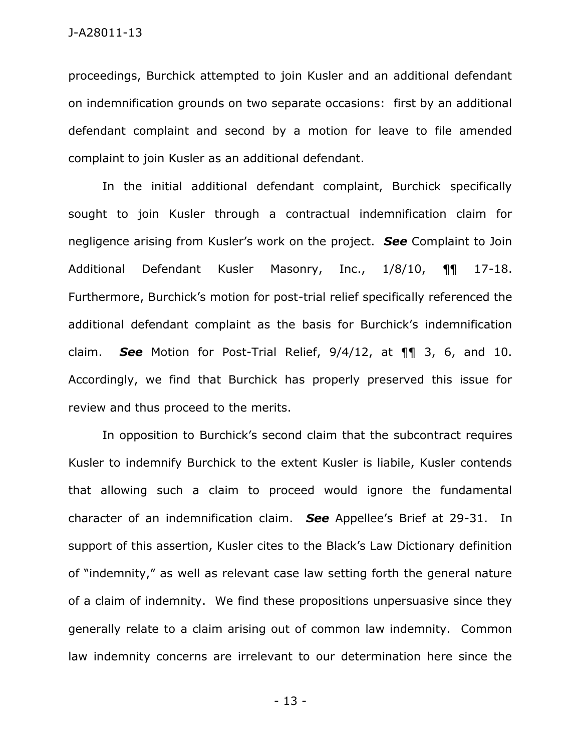proceedings, Burchick attempted to join Kusler and an additional defendant on indemnification grounds on two separate occasions: first by an additional defendant complaint and second by a motion for leave to file amended complaint to join Kusler as an additional defendant.

In the initial additional defendant complaint, Burchick specifically sought to join Kusler through a contractual indemnification claim for negligence arising from Kusler's work on the project. *See* Complaint to Join Additional Defendant Kusler Masonry, Inc., 1/8/10, ¶¶ 17-18. Furthermore, Burchick's motion for post-trial relief specifically referenced the additional defendant complaint as the basis for Burchick's indemnification claim. *See* Motion for Post-Trial Relief, 9/4/12, at ¶¶ 3, 6, and 10. Accordingly, we find that Burchick has properly preserved this issue for review and thus proceed to the merits.

In opposition to Burchick's second claim that the subcontract requires Kusler to indemnify Burchick to the extent Kusler is liabile, Kusler contends that allowing such a claim to proceed would ignore the fundamental character of an indemnification claim. *See* Appellee's Brief at 29-31. In support of this assertion, Kusler cites to the Black's Law Dictionary definition of "indemnity," as well as relevant case law setting forth the general nature of a claim of indemnity. We find these propositions unpersuasive since they generally relate to a claim arising out of common law indemnity. Common law indemnity concerns are irrelevant to our determination here since the

- 13 -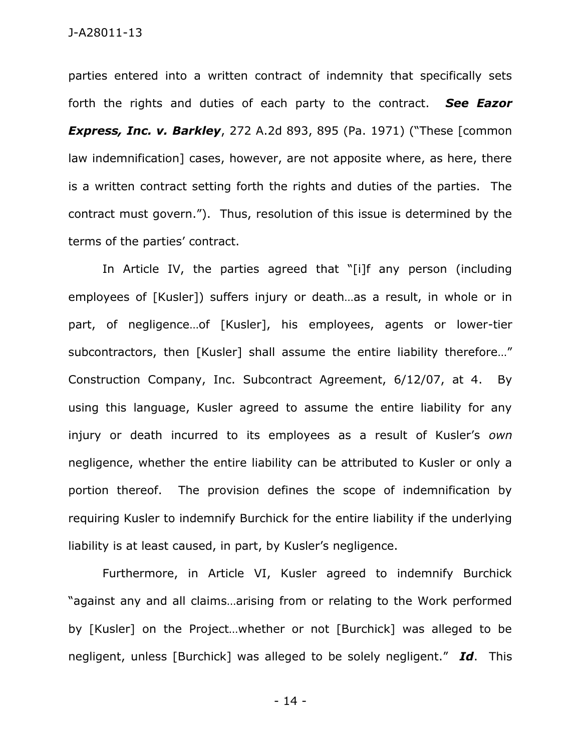parties entered into a written contract of indemnity that specifically sets forth the rights and duties of each party to the contract. *See Eazor Express, Inc. v. Barkley, 272 A.2d 893, 895 (Pa. 1971) ("These [common***)** law indemnification] cases, however, are not apposite where, as here, there is a written contract setting forth the rights and duties of the parties. The contract must govern."). Thus, resolution of this issue is determined by the terms of the parties' contract.

In Article IV, the parties agreed that "[i]f any person (including employees of [Kusler]) suffers injury or death…as a result, in whole or in part, of negligence…of [Kusler], his employees, agents or lower-tier subcontractors, then [Kusler] shall assume the entire liability therefore..." Construction Company, Inc. Subcontract Agreement, 6/12/07, at 4. By using this language, Kusler agreed to assume the entire liability for any injury or death incurred to its employees as a result of Kusler's *own* negligence, whether the entire liability can be attributed to Kusler or only a portion thereof. The provision defines the scope of indemnification by requiring Kusler to indemnify Burchick for the entire liability if the underlying liability is at least caused, in part, by Kusler's negligence.

Furthermore, in Article VI, Kusler agreed to indemnify Burchick "against any and all claims…arising from or relating to the Work performed by [Kusler] on the Project…whether or not [Burchick] was alleged to be negligent, unless [Burchick] was alleged to be solely negligent." *Id*. This

- 14 -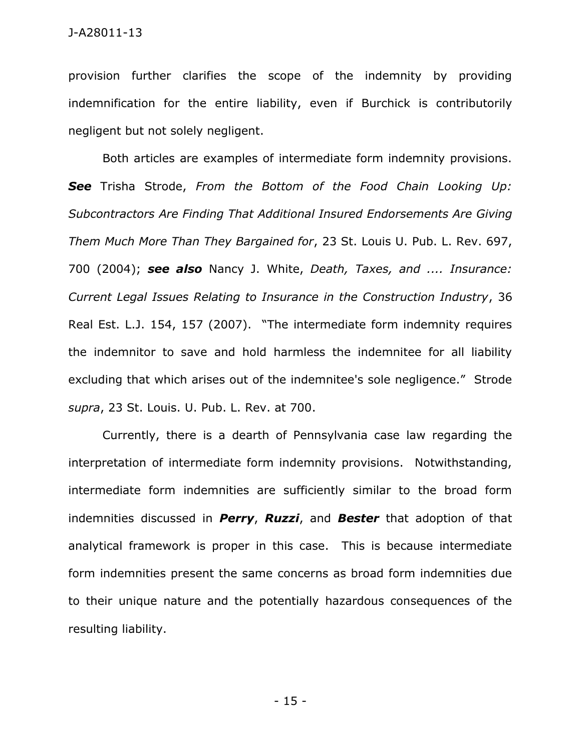provision further clarifies the scope of the indemnity by providing indemnification for the entire liability, even if Burchick is contributorily negligent but not solely negligent.

Both articles are examples of intermediate form indemnity provisions. *See* Trisha Strode, *From the Bottom of the Food Chain Looking Up: Subcontractors Are Finding That Additional Insured Endorsements Are Giving Them Much More Than They Bargained for*, 23 St. Louis U. Pub. L. Rev. 697, 700 (2004); *see also* Nancy J. White, *Death, Taxes, and .... Insurance: Current Legal Issues Relating to Insurance in the Construction Industry*, 36 Real Est. L.J. 154, 157 (2007). "The intermediate form indemnity requires the indemnitor to save and hold harmless the indemnitee for all liability excluding that which arises out of the indemnitee's sole negligence." Strode *supra*, 23 St. Louis. U. Pub. L. Rev. at 700.

Currently, there is a dearth of Pennsylvania case law regarding the interpretation of intermediate form indemnity provisions. Notwithstanding, intermediate form indemnities are sufficiently similar to the broad form indemnities discussed in *Perry*, *Ruzzi*, and *Bester* that adoption of that analytical framework is proper in this case. This is because intermediate form indemnities present the same concerns as broad form indemnities due to their unique nature and the potentially hazardous consequences of the resulting liability.

- 15 -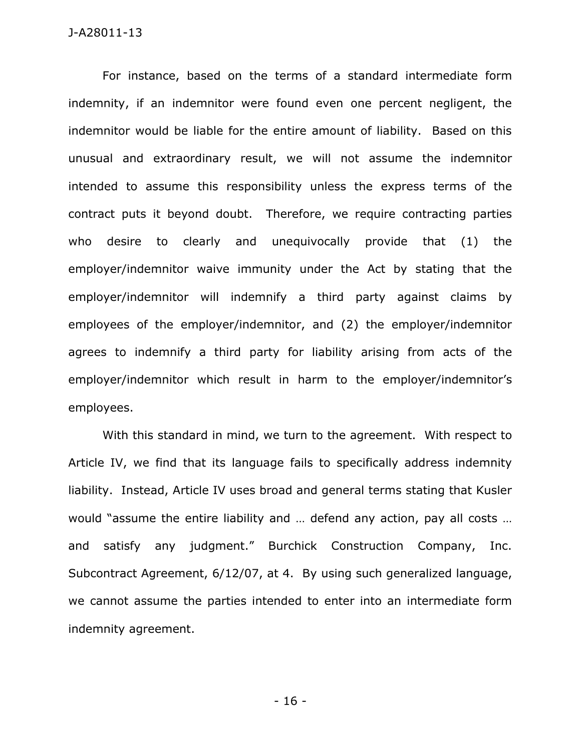For instance, based on the terms of a standard intermediate form indemnity, if an indemnitor were found even one percent negligent, the indemnitor would be liable for the entire amount of liability. Based on this unusual and extraordinary result, we will not assume the indemnitor intended to assume this responsibility unless the express terms of the contract puts it beyond doubt. Therefore, we require contracting parties who desire to clearly and unequivocally provide that (1) the employer/indemnitor waive immunity under the Act by stating that the employer/indemnitor will indemnify a third party against claims by employees of the employer/indemnitor, and (2) the employer/indemnitor agrees to indemnify a third party for liability arising from acts of the employer/indemnitor which result in harm to the employer/indemnitor's employees.

With this standard in mind, we turn to the agreement. With respect to Article IV, we find that its language fails to specifically address indemnity liability. Instead, Article IV uses broad and general terms stating that Kusler would "assume the entire liability and … defend any action, pay all costs … and satisfy any judgment." Burchick Construction Company, Inc. Subcontract Agreement, 6/12/07, at 4. By using such generalized language, we cannot assume the parties intended to enter into an intermediate form indemnity agreement.

- 16 -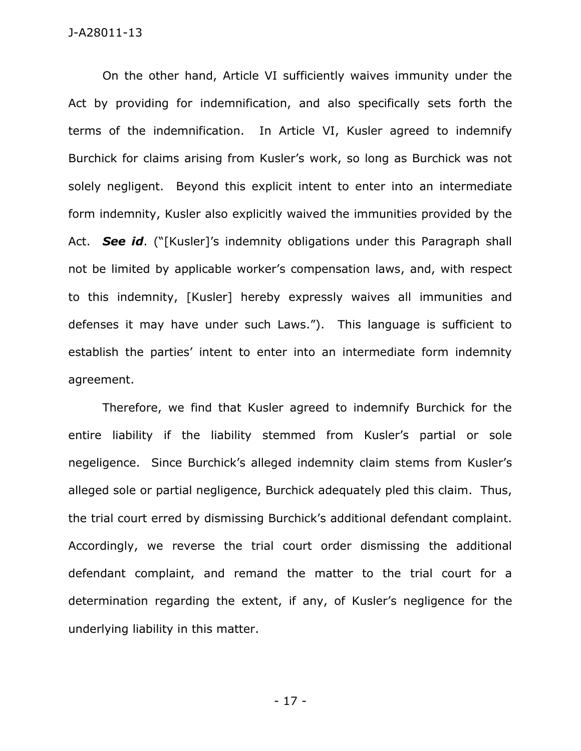On the other hand, Article VI sufficiently waives immunity under the Act by providing for indemnification, and also specifically sets forth the terms of the indemnification. In Article VI, Kusler agreed to indemnify Burchick for claims arising from Kusler's work, so long as Burchick was not solely negligent. Beyond this explicit intent to enter into an intermediate form indemnity, Kusler also explicitly waived the immunities provided by the Act. *See id*. ("[Kusler]'s indemnity obligations under this Paragraph shall not be limited by applicable worker's compensation laws, and, with respect to this indemnity, [Kusler] hereby expressly waives all immunities and defenses it may have under such Laws."). This language is sufficient to establish the parties' intent to enter into an intermediate form indemnity agreement.

Therefore, we find that Kusler agreed to indemnify Burchick for the entire liability if the liability stemmed from Kusler's partial or sole negeligence. Since Burchick's alleged indemnity claim stems from Kusler's alleged sole or partial negligence, Burchick adequately pled this claim. Thus, the trial court erred by dismissing Burchick's additional defendant complaint. Accordingly, we reverse the trial court order dismissing the additional defendant complaint, and remand the matter to the trial court for a determination regarding the extent, if any, of Kusler's negligence for the underlying liability in this matter.

- 17 -